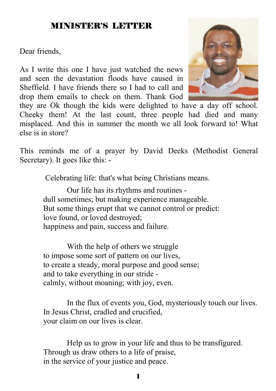### MINISTER'S LETTER

Dear friends,

As I write this one I have just watched the news and seen the devastation floods have caused in Sheffield. I have friends there so I had to call and drop them emails to check on them. Thank God



they are Ok though the kids were delighted to have a day off school. Cheeky them! At the last count, three people had died and many misplaced. And this in summer the month we all look forward to! What else is in store?

This reminds me of a prayer by David Deeks (Methodist General Secretary). It goes like this: -

Celebrating life: that's what being Christians means.

Our life has its rhythms and routines dull sometimes; but making experience manageable. But some things erupt that we cannot control or predict: love found, or loved destroyed; happiness and pain, success and failure.

 With the help of others we struggle to impose some sort of pattern on our lives, to create a steady, moral purpose and good sense; and to take everything in our stride calmly, without moaning; with joy, even.

 In the flux of events you, God, mysteriously touch our lives. In Jesus Christ, cradled and crucified, your claim on our lives is clear.

Help us to grow in your life and thus to be transfigured. Through us draw others to a life of praise, in the service of your justice and peace.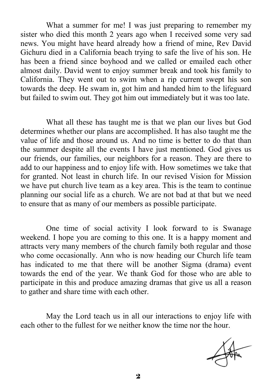What a summer for me! I was just preparing to remember my sister who died this month 2 years ago when I received some very sad news. You might have heard already how a friend of mine, Rev David Gichuru died in a California beach trying to safe the live of his son. He has been a friend since boyhood and we called or emailed each other almost daily. David went to enjoy summer break and took his family to California. They went out to swim when a rip current swept his son towards the deep. He swam in, got him and handed him to the lifeguard but failed to swim out. They got him out immediately but it was too late.

 What all these has taught me is that we plan our lives but God determines whether our plans are accomplished. It has also taught me the value of life and those around us. And no time is better to do that than the summer despite all the events I have just mentioned. God gives us our friends, our families, our neighbors for a reason. They are there to add to our happiness and to enjoy life with. How sometimes we take that for granted. Not least in church life. In our revised Vision for Mission we have put church live team as a key area. This is the team to continue planning our social life as a church. We are not bad at that but we need to ensure that as many of our members as possible participate.

 One time of social activity I look forward to is Swanage weekend. I hope you are coming to this one. It is a happy moment and attracts very many members of the church family both regular and those who come occasionally. Ann who is now heading our Church life team has indicated to me that there will be another Sigma (drama) event towards the end of the year. We thank God for those who are able to participate in this and produce amazing dramas that give us all a reason to gather and share time with each other.

 May the Lord teach us in all our interactions to enjoy life with each other to the fullest for we neither know the time nor the hour.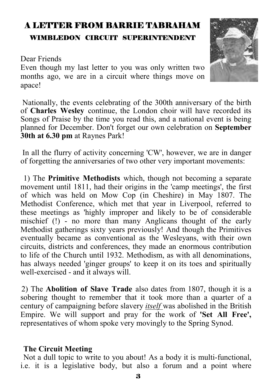# A LETTER FROM BARRIE TABRAHAM WIMBLEDON CIRCUIT SUPERINTENDENT

#### Dear Friends

Even though my last letter to you was only written two months ago, we are in a circuit where things move on apace!

 Nationally, the events celebrating of the 300th anniversary of the birth of **Charles Wesley** continue, the London choir will have recorded its Songs of Praise by the time you read this, and a national event is being planned for December. Don't forget our own celebration on **September 30th at 6.30 pm** at Raynes Park!

 In all the flurry of activity concerning 'CW', however, we are in danger of forgetting the anniversaries of two other very important movements:

 1) The **Primitive Methodists** which, though not becoming a separate movement until 1811, had their origins in the 'camp meetings', the first of which was held on Mow Cop (in Cheshire) in May 1807. The Methodist Conference, which met that year in Liverpool, referred to these meetings as 'highly improper and likely to be of considerable mischief (!) - no more than many Anglicans thought of the early Methodist gatherings sixty years previously! And though the Primitives eventually became as conventional as the Wesleyans, with their own circuits, districts and conferences, they made an enormous contribution to life of the Church until 1932. Methodism, as with all denominations, has always needed 'ginger groups' to keep it on its toes and spiritually well-exercised - and it always will.

2) The **Abolition of Slave Trade** also dates from 1807, though it is a sobering thought to remember that it took more than a quarter of a century of campaigning before slavery *itself* was abolished in the British Empire. We will support and pray for the work of **'Set All Free',**  representatives of whom spoke very movingly to the Spring Synod.

#### **The Circuit Meeting**

 Not a dull topic to write to you about! As a body it is multi-functional, i.e. it is a legislative body, but also a forum and a point where

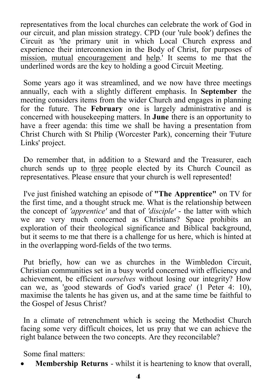representatives from the local churches can celebrate the work of God in our circuit, and plan mission strategy. CPD (our 'rule book') defines the Circuit as 'the primary unit in which Local Church express and experience their interconnexion in the Body of Christ, for purposes of mission, mutual encouragement and help.' It seems to me that the underlined words are the key to holding a good Circuit Meeting.

 Some years ago it was streamlined, and we now have three meetings annually, each with a slightly different emphasis. In **September** the meeting considers items from the wider Church and engages in planning for the future. The **February** one is largely administrative and is concerned with housekeeping matters. In **June** there is an opportunity to have a freer agenda: this time we shall be having a presentation from Christ Church with St Philip (Worcester Park), concerning their 'Future Links' project.

 Do remember that, in addition to a Steward and the Treasurer, each church sends up to three people elected by its Church Council as representatives. Please ensure that your church is well represented!

 I've just finished watching an episode of **"The Apprentice"** on TV for the first time, and a thought struck me. What is the relationship between the concept of *'apprentice'* and that of *'disciple'* - the latter with which we are very much concerned as Christians? Space prohibits an exploration of their theological significance and Biblical background, but it seems to me that there is a challenge for us here, which is hinted at in the overlapping word-fields of the two terms.

 Put briefly, how can we as churches in the Wimbledon Circuit, Christian communities set in a busy world concerned with efficiency and achievement, be efficient *ourselves* without losing our integrity? How can we, as 'good stewards of God's varied grace' (1 Peter 4: 10), maximise the talents he has given us, and at the same time be faithful to the Gospel of Jesus Christ?

 In a climate of retrenchment which is seeing the Methodist Church facing some very difficult choices, let us pray that we can achieve the right balance between the two concepts. Are they reconcilable?

Some final matters:

• **Membership Returns** - whilst it is heartening to know that overall,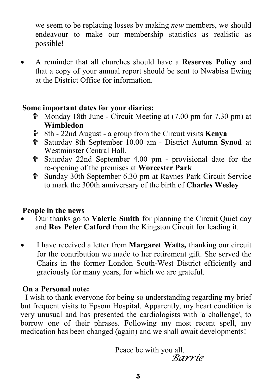we seem to be replacing losses by making *new* members, we should endeavour to make our membership statistics as realistic as possible!

• A reminder that all churches should have a **Reserves Policy** and that a copy of your annual report should be sent to Nwabisa Ewing at the District Office for information.

#### **Some important dates for your diaries:**

- $\hat{\mathbf{\Phi}}$  Monday 18th June Circuit Meeting at (7.00 pm for 7.30 pm) at **Wimbledon**
- = 8th 22nd August a group from the Circuit visits **Kenya**
- = Saturday 8th September 10.00 am District Autumn **Synod** at Westminster Central Hall.
- $\hat{\tau}$  Saturday 22nd September 4.00 pm provisional date for the re-opening of the premises at **Worcester Park**
- = Sunday 30th September 6.30 pm at Raynes Park Circuit Service to mark the 300th anniversary of the birth of **Charles Wesley**

### **People in the news**

- Our thanks go to **Valerie Smith** for planning the Circuit Quiet day and **Rev Peter Catford** from the Kingston Circuit for leading it.
- I have received a letter from **Margaret Watts,** thanking our circuit for the contribution we made to her retirement gift. She served the Chairs in the former London South-West District efficiently and graciously for many years, for which we are grateful.

### **On a Personal note:**

 I wish to thank everyone for being so understanding regarding my brief but frequent visits to Epsom Hospital. Apparently, my heart condition is very unusual and has presented the cardiologists with 'a challenge', to borrow one of their phrases. Following my most recent spell, my medication has been changed (again) and we shall await developments!

> Peace be with you all. *Barrie*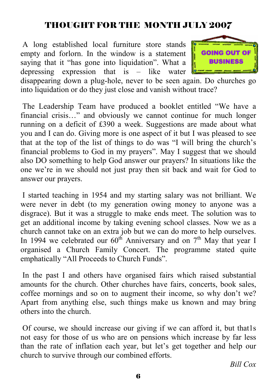# THOUGHT FOR THE MONTH JULY 2007

 A long established local furniture store stands empty and forlorn. In the window is a statement saying that it "has gone into liquidation". What a depressing expression that is – like water



disappearing down a plug-hole, never to be seen again. Do churches go into liquidation or do they just close and vanish without trace?

 The Leadership Team have produced a booklet entitled "We have a financial crisis…" and obviously we cannot continue for much longer running on a deficit of £390 a week. Suggestions are made about what you and I can do. Giving more is one aspect of it but I was pleased to see that at the top of the list of things to do was "I will bring the church's financial problems to God in my prayers". May I suggest that we should also DO something to help God answer our prayers? In situations like the one we're in we should not just pray then sit back and wait for God to answer our prayers.

 I started teaching in 1954 and my starting salary was not brilliant. We were never in debt (to my generation owing money to anyone was a disgrace). But it was a struggle to make ends meet. The solution was to get an additional income by taking evening school classes. Now we as a church cannot take on an extra job but we can do more to help ourselves. In 1994 we celebrated our  $60^{th}$  Anniversary and on  $7^{th}$  May that year I organised a Church Family Concert. The programme stated quite emphatically "All Proceeds to Church Funds".

 In the past I and others have organised fairs which raised substantial amounts for the church. Other churches have fairs, concerts, book sales, coffee mornings and so on to augment their income, so why don't we? Apart from anything else, such things make us known and may bring others into the church.

 Of course, we should increase our giving if we can afford it, but that1s not easy for those of us who are on pensions which increase by far less than the rate of inflation each year, but let's get together and help our church to survive through our combined efforts.

*Bill Cox*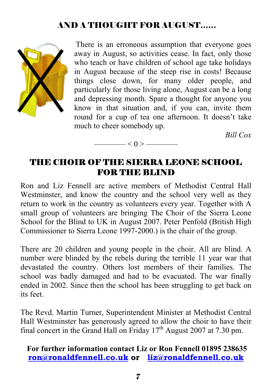# AND A THOUGHT FOR AUGUST……



 There is an erroneous assumption that everyone goes away in August, so activities cease. In fact, only those who teach or have children of school age take holidays in August because of the steep rise in costs! Because things close down, for many older people, and particularly for those living alone, August can be a long and depressing month. Spare a thought for anyone you know in that situation and, if you can, invite them round for a cup of tea one afternoon. It doesn't take much to cheer somebody up.

*Bill Cox* 

### THE CHOIR OF THE SIERRA LEONE SCHOOL FOR THE BLIND

 $\left| \alpha \right| < 0 >$ 

Ron and Liz Fennell are active members of Methodist Central Hall Westminster, and know the country and the school very well as they return to work in the country as volunteers every year. Together with A small group of volunteers are bringing The Choir of the Sierra Leone School for the Blind to UK in August 2007. Peter Penfold (British High Commissioner to Sierra Leone 1997-2000.) is the chair of the group.

There are 20 children and young people in the choir. All are blind. A number were blinded by the rebels during the terrible 11 year war that devastated the country. Others lost members of their families. The school was badly damaged and had to be evacuated. The war finally ended in 2002. Since then the school has been struggling to get back on its feet.

The Revd. Martin Turner, Superintendent Minister at Methodist Central Hall Westminster has generously agreed to allow the choir to have their final concert in the Grand Hall on Friday  $17<sup>th</sup>$  August 2007 at 7.30 pm.

#### **For further information contact Liz or Ron Fennell 01895 238635 ron@ronaldfennell.co.uk or liz@ronaldfennell.co.uk**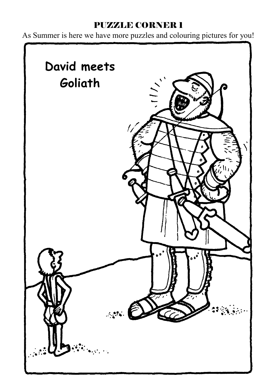# PUZZLE CORNER 1

As Summer is here we have more puzzles and colouring pictures for you!

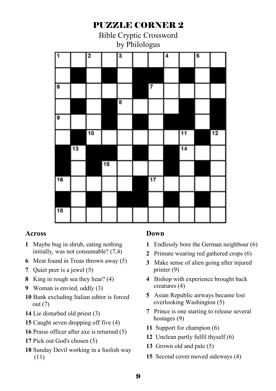# PUZZLE CORNER 2 Bible Cryptic Crossword by Philologus  $\overline{\mathbf{3}}$  $\overline{\mathbf{a}}$  $\overline{11}$  $\overline{12}$  $\overline{13}$  $\overline{17}$

#### **Across**

- Maybe bug in shrub, eating nothing initially, was not consumable? (7,4)
- Meat found in Troas thrown away (5)
- Quiet peer is a jewel (5)
- King in rough sea they hear? (4)
- Woman is envied, oddly (3)
- Bank excluding Italian editor is forced out (7)
- Lie disturbed old priest (3)
- Caught seven dropping off five (4)
- Praise officer after axe is returned (5)
- Pick out God's chosen (5)
- Sunday Devil working in a foolish way (11)

#### **Down**

- Endlessly bore the German neighbour (6)
- Primate wearing red gathered crops (6)
- Make sense of alien going after injured printer (9)
- Bishop with experience brought back creatures (4)
- Asian Republic airways became lost overlooking Washington (5)
- Prince is one starting to release several hostages (9)
- Support for champion (6)
- Unclean partly fulfil thyself (6)
- Grown old and pale (5)
- Second cover moved sideways (4)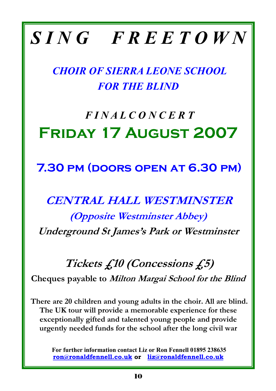# *S I N G F R E E T O W N*

*CHOIR OF SIERRA LEONE SCHOOL FOR THE BLIND* 

# *F I N A L C O N C E R T*  **Friday 17 August 2007**

# **7.30 pm (doors open at 6.30 pm)**

# **CENTRAL HALL WESTMINSTER**

**(Opposite Westminster Abbey) Underground St James's Park or Westminster** 

# **Tickets £10 (Concessions £5)**

**Cheques payable to Milton Margai School for the Blind** 

**There are 20 children and young adults in the choir. All are blind. The UK tour will provide a memorable experience for these exceptionally gifted and talented young people and provide urgently needed funds for the school after the long civil war** 

**For further information contact Liz or Ron Fennell 01895 238635 ron@ronaldfennell.co.uk or liz@ronaldfennell.co.uk**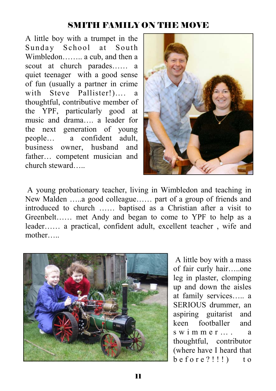### SMITH FAMILY ON THE MOVE

A little boy with a trumpet in the Sunday School at South Wimbledon…….. a cub, and then a scout at church parades…… a quiet teenager with a good sense of fun (usually a partner in crime with Steve Pallister!)…. a thoughtful, contributive member of the YPF, particularly good at music and drama…. a leader for the next generation of young people… a confident adult, business owner, husband and father… competent musician and church steward…..



 A young probationary teacher, living in Wimbledon and teaching in New Malden …..a good colleague…… part of a group of friends and introduced to church …… baptised as a Christian after a visit to Greenbelt…… met Andy and began to come to YPF to help as a leader…… a practical, confident adult, excellent teacher , wife and mother…..



 A little boy with a mass of fair curly hair…..one leg in plaster, clomping up and down the aisles at family services….. a SERIOUS drummer, an aspiring guitarist and keen footballer and s w i m m e r ... a thoughtful, contributor (where have I heard that  $before$ ?!!!) to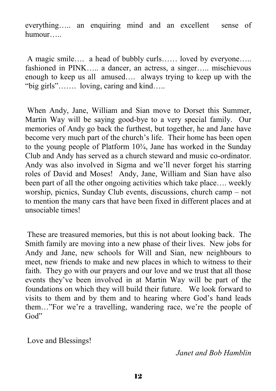everything….. an enquiring mind and an excellent sense of humour…..

 A magic smile…. a head of bubbly curls…… loved by everyone….. fashioned in PINK….. a dancer, an actress, a singer….. mischievous enough to keep us all amused…. always trying to keep up with the "big girls"……. loving, caring and kind…..

 When Andy, Jane, William and Sian move to Dorset this Summer, Martin Way will be saying good-bye to a very special family. Our memories of Andy go back the furthest, but together, he and Jane have become very much part of the church's life. Their home has been open to the young people of Platform 10¾, Jane has worked in the Sunday Club and Andy has served as a church steward and music co-ordinator. Andy was also involved in Sigma and we'll never forget his starring roles of David and Moses! Andy, Jane, William and Sian have also been part of all the other ongoing activities which take place…. weekly worship, picnics, Sunday Club events, discussions, church camp – not to mention the many cars that have been fixed in different places and at unsociable times!

 These are treasured memories, but this is not about looking back. The Smith family are moving into a new phase of their lives. New jobs for Andy and Jane, new schools for Will and Sian, new neighbours to meet, new friends to make and new places in which to witness to their faith. They go with our prayers and our love and we trust that all those events they've been involved in at Martin Way will be part of the foundations on which they will build their future. We look forward to visits to them and by them and to hearing where God's hand leads them…"For we're a travelling, wandering race, we're the people of God"

Love and Blessings!

*Janet and Bob Hamblin*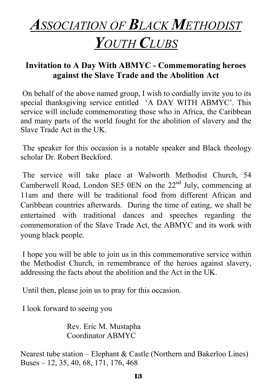# *ASSOCIATION OF BLACK METHODIST*

# *YOUTH CLUBS*

# **Invitation to A Day With ABMYC - Commemorating heroes against the Slave Trade and the Abolition Act**

 On behalf of the above named group, I wish to cordially invite you to its special thanksgiving service entitled 'A DAY WITH ABMYC'. This service will include commemorating those who in Africa, the Caribbean and many parts of the world fought for the abolition of slavery and the Slave Trade Act in the UK.

 The speaker for this occasion is a notable speaker and Black theology scholar Dr. Robert Beckford.

 The service will take place at Walworth Methodist Church, 54 Camberwell Road, London SE5 0EN on the  $22<sup>nd</sup>$  July, commencing at 11am and there will be traditional food from different African and Caribbean countries afterwards. During the time of eating, we shall be entertained with traditional dances and speeches regarding the commemoration of the Slave Trade Act, the ABMYC and its work with young black people.

 I hope you will be able to join us in this commemorative service within the Methodist Church, in remembrance of the heroes against slavery, addressing the facts about the abolition and the Act in the UK.

Until then, please join us to pray for this occasion.

I look forward to seeing you

Rev. Eric M. Mustapha Coordinator ABMYC

Nearest tube station – Elephant & Castle (Northern and Bakerloo Lines) Buses – 12, 35, 40, 68, 171, 176, 468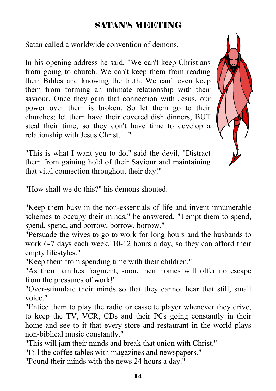## SATAN'S MEETING

Satan called a worldwide convention of demons.

In his opening address he said, "We can't keep Christians from going to church. We can't keep them from reading their Bibles and knowing the truth. We can't even keep them from forming an intimate relationship with their saviour. Once they gain that connection with Jesus, our power over them is broken. So let them go to their churches; let them have their covered dish dinners, BUT steal their time, so they don't have time to develop a relationship with Jesus Christ…."



"This is what I want you to do," said the devil, "Distract them from gaining hold of their Saviour and maintaining that vital connection throughout their day!"

"How shall we do this?" his demons shouted.

"Keep them busy in the non-essentials of life and invent innumerable schemes to occupy their minds," he answered. "Tempt them to spend, spend, spend, and borrow, borrow, borrow."

"Persuade the wives to go to work for long hours and the husbands to work 6-7 days each week, 10-12 hours a day, so they can afford their empty lifestyles."

"Keep them from spending time with their children."

"As their families fragment, soon, their homes will offer no escape from the pressures of work!"

"Over-stimulate their minds so that they cannot hear that still, small voice."

"Entice them to play the radio or cassette player whenever they drive, to keep the TV, VCR, CDs and their PCs going constantly in their home and see to it that every store and restaurant in the world plays non-biblical music constantly."

"This will jam their minds and break that union with Christ."

"Fill the coffee tables with magazines and newspapers."

"Pound their minds with the news 24 hours a day."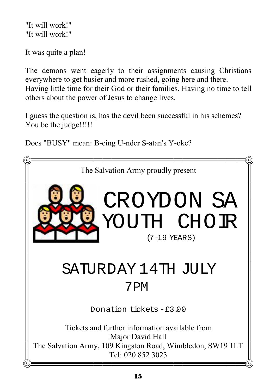"It will work!" "It will work!"

It was quite a plan!

The demons went eagerly to their assignments causing Christians everywhere to get busier and more rushed, going here and there. Having little time for their God or their families. Having no time to tell others about the power of Jesus to change lives.

I guess the question is, has the devil been successful in his schemes? You be the judge!!!!!

Does "BUSY" mean: B-eing U-nder S-atan's Y-oke?

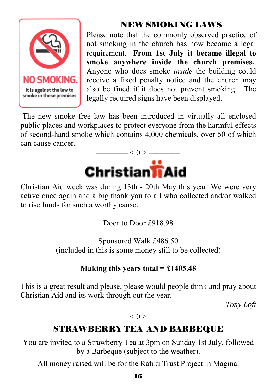

# NEW SMOKING LAWS

Please note that the commonly observed practice of not smoking in the church has now become a legal requirement. **From 1st July it became illegal to smoke anywhere inside the church premises.** Anyone who does smoke *inside* the building could receive a fixed penalty notice and the church may also be fined if it does not prevent smoking. The legally required signs have been displayed.

 The new smoke free law has been introduced in virtually all enclosed public places and workplaces to protect everyone from the harmful effects of second-hand smoke which contains 4,000 chemicals, over 50 of which can cause cancer.



Christian Aid week was during 13th - 20th May this year. We were very active once again and a big thank you to all who collected and/or walked to rise funds for such a worthy cause.

Door to Door £918.98

Sponsored Walk £486.50 (included in this is some money still to be collected)

### **Making this years total = £1405.48**

This is a great result and please, please would people think and pray about Christian Aid and its work through out the year.

*Tony Loft* 

 $\leq 0$  >  $\leq$ 

# STRAWBERRY TEA AND BARBEQUE

You are invited to a Strawberry Tea at 3pm on Sunday 1st July, followed by a Barbeque (subject to the weather).

All money raised will be for the Rafiki Trust Project in Magina.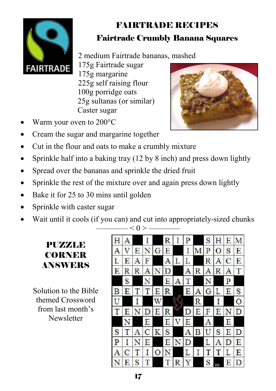

# FAIRTRADE RECIPES Fairtrade Crumbly Banana Squares

2 medium Fairtrade bananas, mashed

175g Fairtrade sugar 175g margarine 225g self raising flour 100g porridge oats 25g sultanas (or similar) Caster sugar



- Warm your oven to 200°C
- Cream the sugar and margarine together
- Cut in the flour and oats to make a crumbly mixture
- Sprinkle half into a baking tray (12 by 8 inch) and press down lightly
- Spread over the bananas and sprinkle the dried fruit
- Sprinkle the rest of the mixture over and again press down lightly
- Bake it for 25 to 30 mins until golden
- Sprinkle with caster sugar
- Wait until it cools (if you can) and cut into appropriately-sized chunks

# PUZZLE **CORNER** ANSWERS

Solution to the Bible themed Crossword from last month's **Newsletter** 

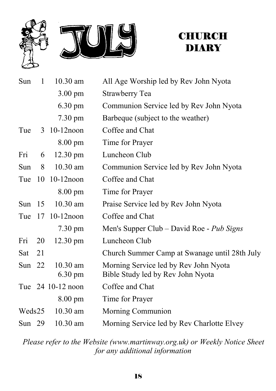



# **CHURCH DIARY**

| Sun      | $\mathbf{1}$ | 10.30 am                        | All Age Worship led by Rev John Nyota                                      |
|----------|--------------|---------------------------------|----------------------------------------------------------------------------|
|          |              | $3.00 \text{ pm}$               | Strawberry Tea                                                             |
|          |              | $6.30 \text{ pm}$               | Communion Service led by Rev John Nyota                                    |
|          |              | 7.30 pm                         | Barbeque (subject to the weather)                                          |
| Tue      |              | 3 10-12 noon                    | Coffee and Chat                                                            |
|          |              | 8.00 pm                         | Time for Prayer                                                            |
| Fri      | 6            | $12.30 \text{ pm}$              | Luncheon Club                                                              |
| Sun      | 8            | $10.30$ am                      | Communion Service led by Rev John Nyota                                    |
| Tue      | 10           | $10-12$ noon                    | Coffee and Chat                                                            |
|          |              | $8.00 \text{ pm}$               | Time for Prayer                                                            |
| Sun $15$ |              | 10.30 am                        | Praise Service led by Rev John Nyota                                       |
|          |              | Tue 17 10-12 noon               | Coffee and Chat                                                            |
|          |              | 7.30 pm                         | Men's Supper Club – David Roe - Pub Signs                                  |
| Fri      | 20           | $12.30 \text{ pm}$              | Luncheon Club                                                              |
| Sat      | 21           |                                 | Church Summer Camp at Swanage until 28th July                              |
| Sun $22$ |              | $10.30$ am<br>$6.30 \text{ pm}$ | Morning Service led by Rev John Nyota<br>Bible Study led by Rev John Nyota |
|          |              | Tue 24 10-12 noon               | Coffee and Chat                                                            |
|          |              | 8.00 pm                         | Time for Prayer                                                            |
| Weds25   |              | $10.30$ am                      | Morning Communion                                                          |
| Sun $29$ |              | 10.30 am                        | Morning Service led by Rev Charlotte Elvey                                 |

*Please refer to the Website (www.martinway.org.uk) or Weekly Notice Sheet for any additional information*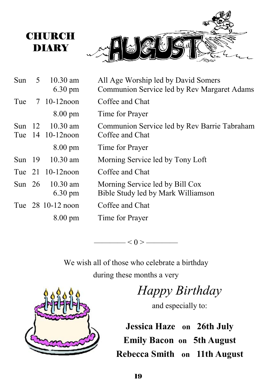

| Sun | $5 \t10.30$ am<br>$6.30 \text{ pm}$  | All Age Worship led by David Somers<br>Communion Service led by Rev Margaret Adams |
|-----|--------------------------------------|------------------------------------------------------------------------------------|
| Tue | 7 10-12 noon                         | Coffee and Chat                                                                    |
|     | $8.00 \text{ pm}$                    | Time for Prayer                                                                    |
|     | Sun 12 10.30 am<br>Tue 14 10-12 noon | Communion Service led by Rev Barrie Tabraham<br>Coffee and Chat                    |
|     | $8.00 \text{ pm}$                    | Time for Prayer                                                                    |
|     | Sun 19 10.30 am                      | Morning Service led by Tony Loft                                                   |
|     | Tue 21 10-12 noon                    | Coffee and Chat                                                                    |
|     | Sun 26 10.30 am<br>$6.30 \text{ pm}$ | Morning Service led by Bill Cox<br>Bible Study led by Mark Williamson              |
|     | Tue 28 10-12 noon                    | Coffee and Chat                                                                    |
|     | $8.00 \text{ pm}$                    | Time for Prayer                                                                    |
|     |                                      |                                                                                    |

 $\left| \alpha \right| < 0 >$ 

We wish all of those who celebrate a birthday during these months a very

*Happy Birthday* 

and especially to:

**Jessica Haze on 26th July Emily Bacon on 5th August Rebecca Smith on 11th August**